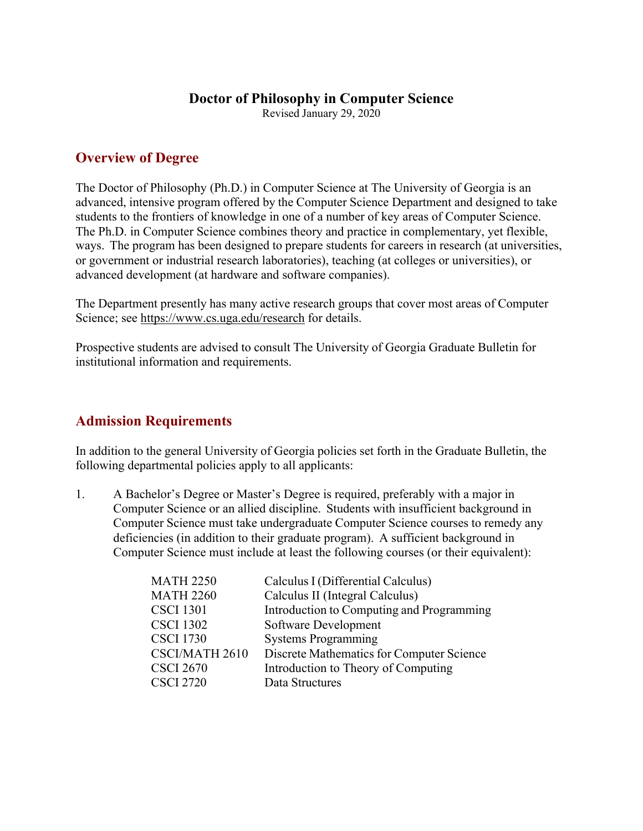## **Doctor of Philosophy in Computer Science**

Revised January 29, 2020

# **Overview of Degree**

The Doctor of Philosophy (Ph.D.) in Computer Science at The University of Georgia is an advanced, intensive program offered by the Computer Science Department and designed to take students to the frontiers of knowledge in one of a number of key areas of Computer Science. The Ph.D. in Computer Science combines theory and practice in complementary, yet flexible, ways. The program has been designed to prepare students for careers in research (at universities, or government or industrial research laboratories), teaching (at colleges or universities), or advanced development (at hardware and software companies).

The Department presently has many active research groups that cover most areas of Computer Science; see https://www.cs.uga.edu/research for details.

Prospective students are advised to consult The University of Georgia Graduate Bulletin for institutional information and requirements.

# **Admission Requirements**

In addition to the general University of Georgia policies set forth in the Graduate Bulletin, the following departmental policies apply to all applicants:

1. A Bachelor's Degree or Master's Degree is required, preferably with a major in Computer Science or an allied discipline. Students with insufficient background in Computer Science must take undergraduate Computer Science courses to remedy any deficiencies (in addition to their graduate program). A sufficient background in Computer Science must include at least the following courses (or their equivalent):

| <b>MATH 2250</b> | Calculus I (Differential Calculus)        |
|------------------|-------------------------------------------|
| <b>MATH 2260</b> | Calculus II (Integral Calculus)           |
| <b>CSCI 1301</b> | Introduction to Computing and Programming |
| <b>CSCI 1302</b> | Software Development                      |
| <b>CSCI 1730</b> | <b>Systems Programming</b>                |
| CSCI/MATH 2610   | Discrete Mathematics for Computer Science |
| <b>CSCI 2670</b> | Introduction to Theory of Computing       |
| <b>CSCI 2720</b> | Data Structures                           |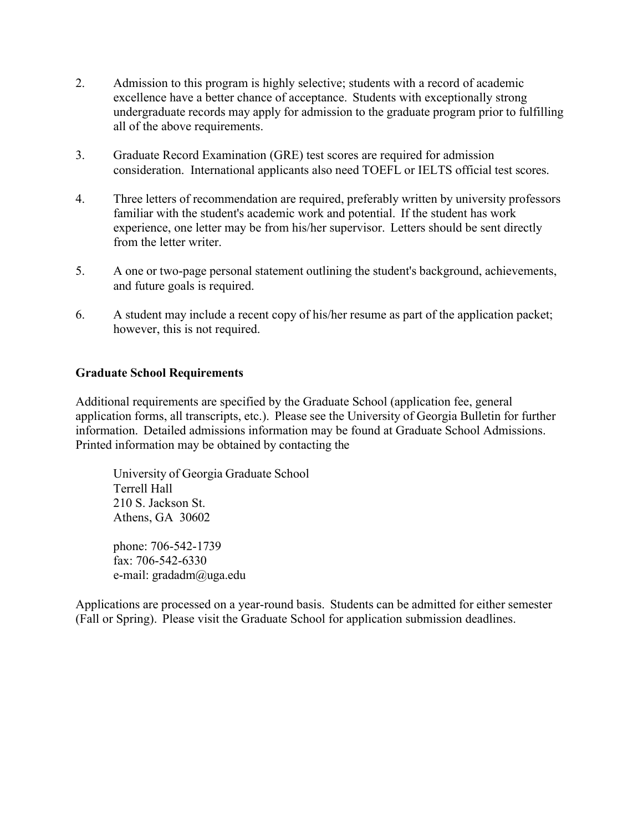- 2. Admission to this program is highly selective; students with a record of academic excellence have a better chance of acceptance. Students with exceptionally strong undergraduate records may apply for admission to the graduate program prior to fulfilling all of the above requirements.
- 3. Graduate Record Examination (GRE) test scores are required for admission consideration. International applicants also need TOEFL or IELTS official test scores.
- 4. Three letters of recommendation are required, preferably written by university professors familiar with the student's academic work and potential. If the student has work experience, one letter may be from his/her supervisor. Letters should be sent directly from the letter writer.
- 5. A one or two-page personal statement outlining the student's background, achievements, and future goals is required.
- 6. A student may include a recent copy of his/her resume as part of the application packet; however, this is not required.

#### **Graduate School Requirements**

Additional requirements are specified by the Graduate School (application fee, general application forms, all transcripts, etc.). Please see the University of Georgia Bulletin for further information. Detailed admissions information may be found at Graduate School Admissions. Printed information may be obtained by contacting the

University of Georgia Graduate School Terrell Hall 210 S. Jackson St. Athens, GA 30602

phone: 706-542-1739 fax: 706-542-6330 e-mail: gradadm@uga.edu

Applications are processed on a year-round basis. Students can be admitted for either semester (Fall or Spring). Please visit the Graduate School for application submission deadlines.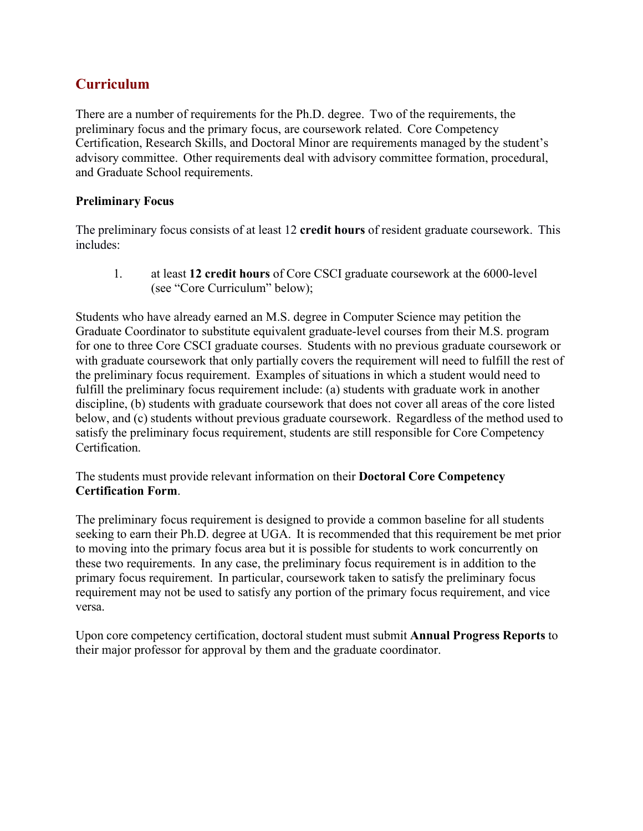# **Curriculum**

There are a number of requirements for the Ph.D. degree. Two of the requirements, the preliminary focus and the primary focus, are coursework related. Core Competency Certification, Research Skills, and Doctoral Minor are requirements managed by the student's advisory committee. Other requirements deal with advisory committee formation, procedural, and Graduate School requirements.

## **Preliminary Focus**

The preliminary focus consists of at least 12 **credit hours** of resident graduate coursework. This includes:

1. at least **12 credit hours** of Core CSCI graduate coursework at the 6000-level (see "Core Curriculum" below);

Students who have already earned an M.S. degree in Computer Science may petition the Graduate Coordinator to substitute equivalent graduate-level courses from their M.S. program for one to three Core CSCI graduate courses. Students with no previous graduate coursework or with graduate coursework that only partially covers the requirement will need to fulfill the rest of the preliminary focus requirement. Examples of situations in which a student would need to fulfill the preliminary focus requirement include: (a) students with graduate work in another discipline, (b) students with graduate coursework that does not cover all areas of the core listed below, and (c) students without previous graduate coursework. Regardless of the method used to satisfy the preliminary focus requirement, students are still responsible for Core Competency Certification.

## The students must provide relevant information on their **Doctoral Core Competency Certification Form**.

The preliminary focus requirement is designed to provide a common baseline for all students seeking to earn their Ph.D. degree at UGA. It is recommended that this requirement be met prior to moving into the primary focus area but it is possible for students to work concurrently on these two requirements. In any case, the preliminary focus requirement is in addition to the primary focus requirement. In particular, coursework taken to satisfy the preliminary focus requirement may not be used to satisfy any portion of the primary focus requirement, and vice versa.

Upon core competency certification, doctoral student must submit **Annual Progress Reports** to their major professor for approval by them and the graduate coordinator.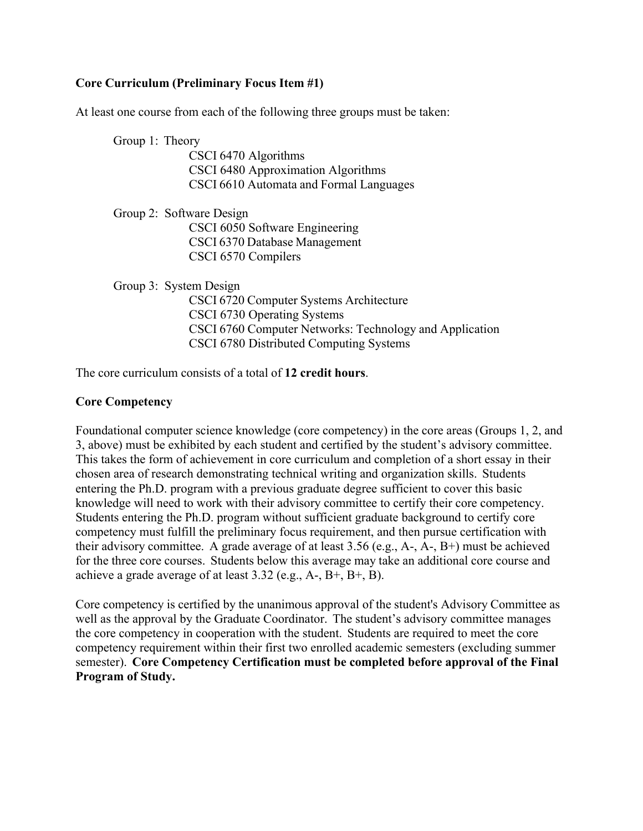## **Core Curriculum (Preliminary Focus Item #1)**

At least one course from each of the following three groups must be taken:

Group 1: Theory CSCI 6470 Algorithms CSCI 6480 Approximation Algorithms CSCI 6610 Automata and Formal Languages

Group 2: Software Design CSCI 6050 Software Engineering CSCI 6370 Database Management CSCI 6570 Compilers

Group 3: System Design

CSCI 6720 Computer Systems Architecture CSCI 6730 Operating Systems CSCI 6760 Computer Networks: Technology and Application CSCI 6780 Distributed Computing Systems

The core curriculum consists of a total of **12 credit hours**.

#### **Core Competency**

Foundational computer science knowledge (core competency) in the core areas (Groups 1, 2, and 3, above) must be exhibited by each student and certified by the student's advisory committee. This takes the form of achievement in core curriculum and completion of a short essay in their chosen area of research demonstrating technical writing and organization skills. Students entering the Ph.D. program with a previous graduate degree sufficient to cover this basic knowledge will need to work with their advisory committee to certify their core competency. Students entering the Ph.D. program without sufficient graduate background to certify core competency must fulfill the preliminary focus requirement, and then pursue certification with their advisory committee. A grade average of at least 3.56 (e.g., A-, A-, B+) must be achieved for the three core courses. Students below this average may take an additional core course and achieve a grade average of at least 3.32 (e.g., A-, B+, B+, B).

Core competency is certified by the unanimous approval of the student's Advisory Committee as well as the approval by the Graduate Coordinator. The student's advisory committee manages the core competency in cooperation with the student. Students are required to meet the core competency requirement within their first two enrolled academic semesters (excluding summer semester). **Core Competency Certification must be completed before approval of the Final Program of Study.**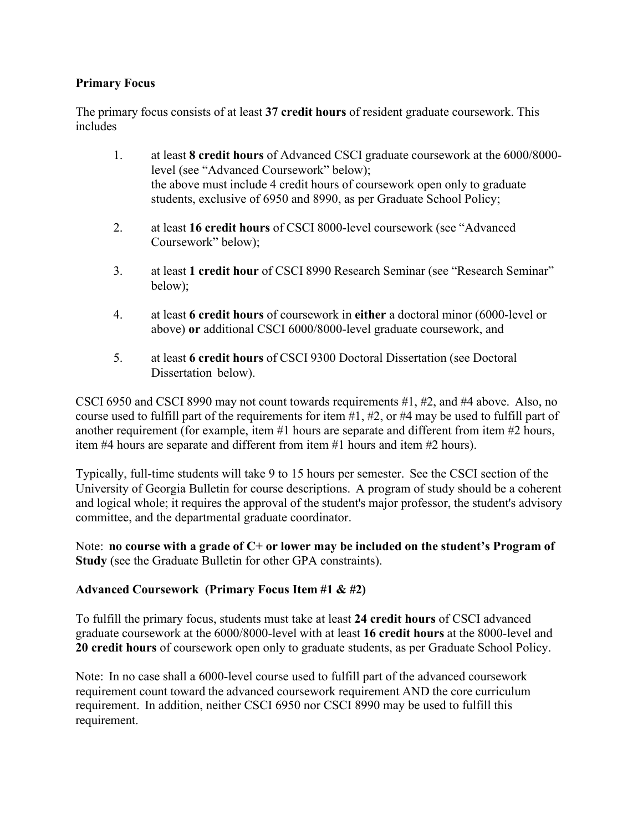#### **Primary Focus**

The primary focus consists of at least **37 credit hours** of resident graduate coursework. This includes

- 1. at least **8 credit hours** of Advanced CSCI graduate coursework at the 6000/8000 level (see "Advanced Coursework" below); the above must include 4 credit hours of coursework open only to graduate students, exclusive of 6950 and 8990, as per Graduate School Policy;
- 2. at least **16 credit hours** of CSCI 8000-level coursework (see "Advanced Coursework" below);
- 3. at least **1 credit hour** of CSCI 8990 Research Seminar (see "Research Seminar" below);
- 4. at least **6 credit hours** of coursework in **either** a doctoral minor (6000-level or above) **or** additional CSCI 6000/8000-level graduate coursework, and
- 5. at least **6 credit hours** of CSCI 9300 Doctoral Dissertation (see Doctoral Dissertation below).

CSCI 6950 and CSCI 8990 may not count towards requirements #1, #2, and #4 above. Also, no course used to fulfill part of the requirements for item #1, #2, or #4 may be used to fulfill part of another requirement (for example, item #1 hours are separate and different from item #2 hours, item #4 hours are separate and different from item #1 hours and item #2 hours).

Typically, full-time students will take 9 to 15 hours per semester. See the CSCI section of the University of Georgia Bulletin for course descriptions. A program of study should be a coherent and logical whole; it requires the approval of the student's major professor, the student's advisory committee, and the departmental graduate coordinator.

Note: **no course with a grade of C+ or lower may be included on the student's Program of Study** (see the Graduate Bulletin for other GPA constraints).

## **Advanced Coursework (Primary Focus Item #1 & #2)**

To fulfill the primary focus, students must take at least **24 credit hours** of CSCI advanced graduate coursework at the 6000/8000-level with at least **16 credit hours** at the 8000-level and **20 credit hours** of coursework open only to graduate students, as per Graduate School Policy.

Note: In no case shall a 6000-level course used to fulfill part of the advanced coursework requirement count toward the advanced coursework requirement AND the core curriculum requirement. In addition, neither CSCI 6950 nor CSCI 8990 may be used to fulfill this requirement.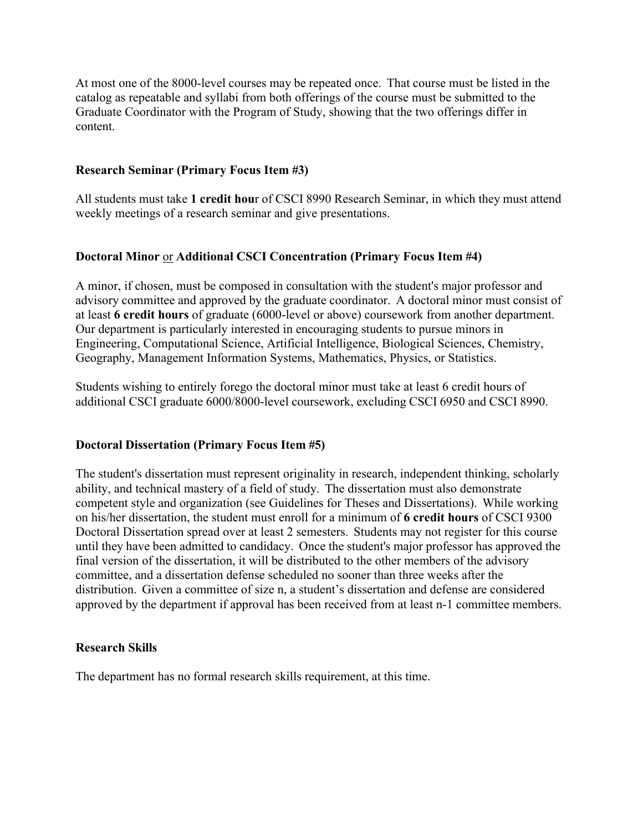At most one of the 8000-level courses may be repeated once. That course must be listed in the catalog as repeatable and syllabi from both offerings of the course must be submitted to the Graduate Coordinator with the Program of Study, showing that the two offerings differ in content.

#### **Research Seminar (Primary Focus Item #3)**

All students must take **1 credit hou**r of CSCI 8990 Research Seminar, in which they must attend weekly meetings of a research seminar and give presentations.

## **Doctoral Minor** or **Additional CSCI Concentration (Primary Focus Item #4)**

A minor, if chosen, must be composed in consultation with the student's major professor and advisory committee and approved by the graduate coordinator. A doctoral minor must consist of at least **6 credit hours** of graduate (6000-level or above) coursework from another department. Our department is particularly interested in encouraging students to pursue minors in Engineering, Computational Science, Artificial Intelligence, Biological Sciences, Chemistry, Geography, Management Information Systems, Mathematics, Physics, or Statistics.

Students wishing to entirely forego the doctoral minor must take at least 6 credit hours of additional CSCI graduate 6000/8000-level coursework, excluding CSCI 6950 and CSCI 8990.

#### **Doctoral Dissertation (Primary Focus Item #5)**

The student's dissertation must represent originality in research, independent thinking, scholarly ability, and technical mastery of a field of study. The dissertation must also demonstrate competent style and organization (see Guidelines for Theses and Dissertations). While working on his/her dissertation, the student must enroll for a minimum of **6 credit hours** of CSCI 9300 Doctoral Dissertation spread over at least 2 semesters. Students may not register for this course until they have been admitted to candidacy. Once the student's major professor has approved the final version of the dissertation, it will be distributed to the other members of the advisory committee, and a dissertation defense scheduled no sooner than three weeks after the distribution. Given a committee of size n, a student's dissertation and defense are considered approved by the department if approval has been received from at least n-1 committee members.

#### **Research Skills**

The department has no formal research skills requirement, at this time.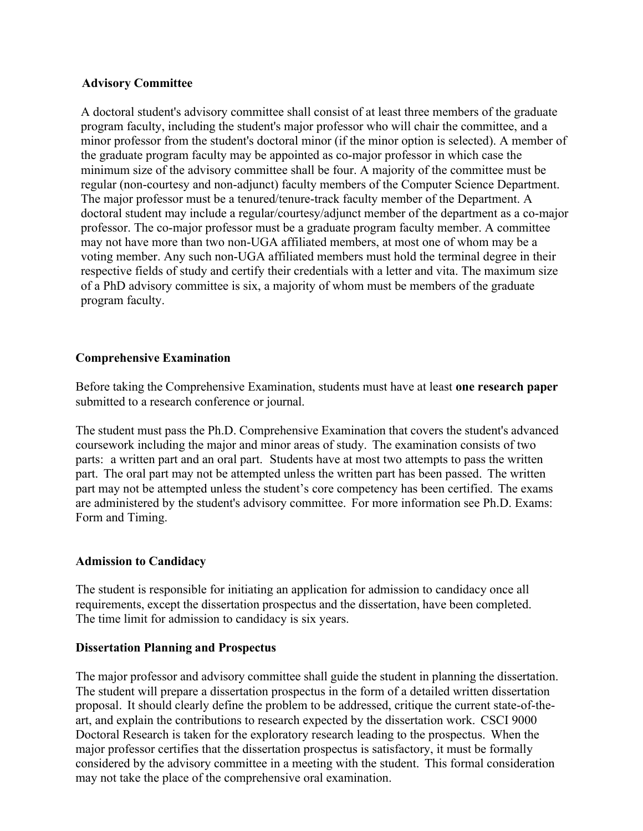#### **Advisory Committee**

A doctoral student's advisory committee shall consist of at least three members of the graduate program faculty, including the student's major professor who will chair the committee, and a minor professor from the student's doctoral minor (if the minor option is selected). A member of the graduate program faculty may be appointed as co-major professor in which case the minimum size of the advisory committee shall be four. A majority of the committee must be regular (non-courtesy and non-adjunct) faculty members of the Computer Science Department. The major professor must be a tenured/tenure-track faculty member of the Department. A doctoral student may include a regular/courtesy/adjunct member of the department as a co-major professor. The co-major professor must be a graduate program faculty member. A committee may not have more than two non-UGA affiliated members, at most one of whom may be a voting member. Any such non-UGA affiliated members must hold the terminal degree in their respective fields of study and certify their credentials with a letter and vita. The maximum size of a PhD advisory committee is six, a majority of whom must be members of the graduate program faculty.

## **Comprehensive Examination**

Before taking the Comprehensive Examination, students must have at least **one research paper** submitted to a research conference or journal.

The student must pass the Ph.D. Comprehensive Examination that covers the student's advanced coursework including the major and minor areas of study. The examination consists of two parts: a written part and an oral part. Students have at most two attempts to pass the written part. The oral part may not be attempted unless the written part has been passed. The written part may not be attempted unless the student's core competency has been certified. The exams are administered by the student's advisory committee. For more information see Ph.D. Exams: Form and Timing.

## **Admission to Candidacy**

The student is responsible for initiating an application for admission to candidacy once all requirements, except the dissertation prospectus and the dissertation, have been completed. The time limit for admission to candidacy is six years.

#### **Dissertation Planning and Prospectus**

The major professor and advisory committee shall guide the student in planning the dissertation. The student will prepare a dissertation prospectus in the form of a detailed written dissertation proposal. It should clearly define the problem to be addressed, critique the current state-of-theart, and explain the contributions to research expected by the dissertation work. CSCI 9000 Doctoral Research is taken for the exploratory research leading to the prospectus. When the major professor certifies that the dissertation prospectus is satisfactory, it must be formally considered by the advisory committee in a meeting with the student. This formal consideration may not take the place of the comprehensive oral examination.